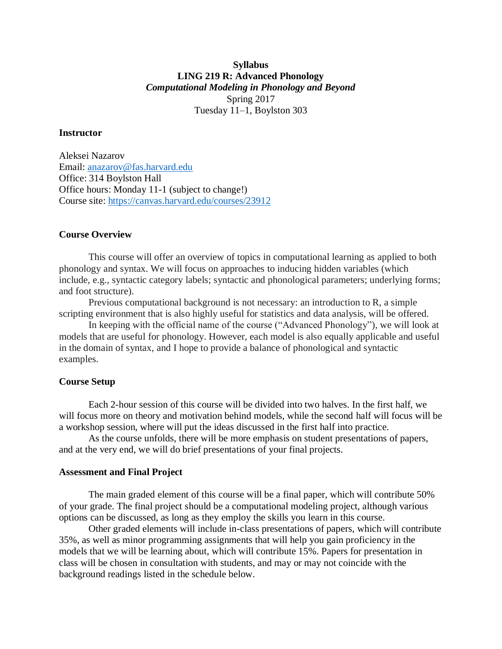# **Syllabus LING 219 R: Advanced Phonology** *Computational Modeling in Phonology and Beyond* Spring 2017 Tuesday 11–1, Boylston 303

## **Instructor**

Aleksei Nazarov Email: [anazarov@fas.harvard.edu](mailto:anazarov@fas.harvard.edu) Office: 314 Boylston Hall Office hours: Monday 11-1 (subject to change!) Course site:<https://canvas.harvard.edu/courses/23912>

#### **Course Overview**

This course will offer an overview of topics in computational learning as applied to both phonology and syntax. We will focus on approaches to inducing hidden variables (which include, e.g., syntactic category labels; syntactic and phonological parameters; underlying forms; and foot structure).

Previous computational background is not necessary: an introduction to R, a simple scripting environment that is also highly useful for statistics and data analysis, will be offered.

In keeping with the official name of the course ("Advanced Phonology"), we will look at models that are useful for phonology. However, each model is also equally applicable and useful in the domain of syntax, and I hope to provide a balance of phonological and syntactic examples.

#### **Course Setup**

Each 2-hour session of this course will be divided into two halves. In the first half, we will focus more on theory and motivation behind models, while the second half will focus will be a workshop session, where will put the ideas discussed in the first half into practice.

As the course unfolds, there will be more emphasis on student presentations of papers, and at the very end, we will do brief presentations of your final projects.

## **Assessment and Final Project**

The main graded element of this course will be a final paper, which will contribute 50% of your grade. The final project should be a computational modeling project, although various options can be discussed, as long as they employ the skills you learn in this course.

Other graded elements will include in-class presentations of papers, which will contribute 35%, as well as minor programming assignments that will help you gain proficiency in the models that we will be learning about, which will contribute 15%. Papers for presentation in class will be chosen in consultation with students, and may or may not coincide with the background readings listed in the schedule below.